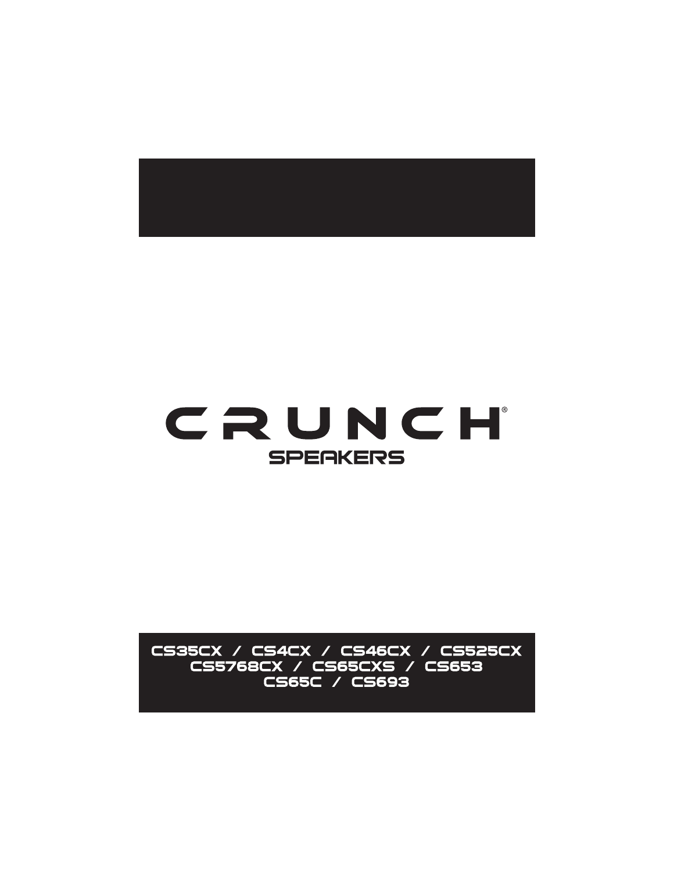

# CRUNCH **SPERKERS**

CS35CX / CS4CX / CS46CX / CS525CX CS5768CX / CS65CXS / CS653 CS65C / CS693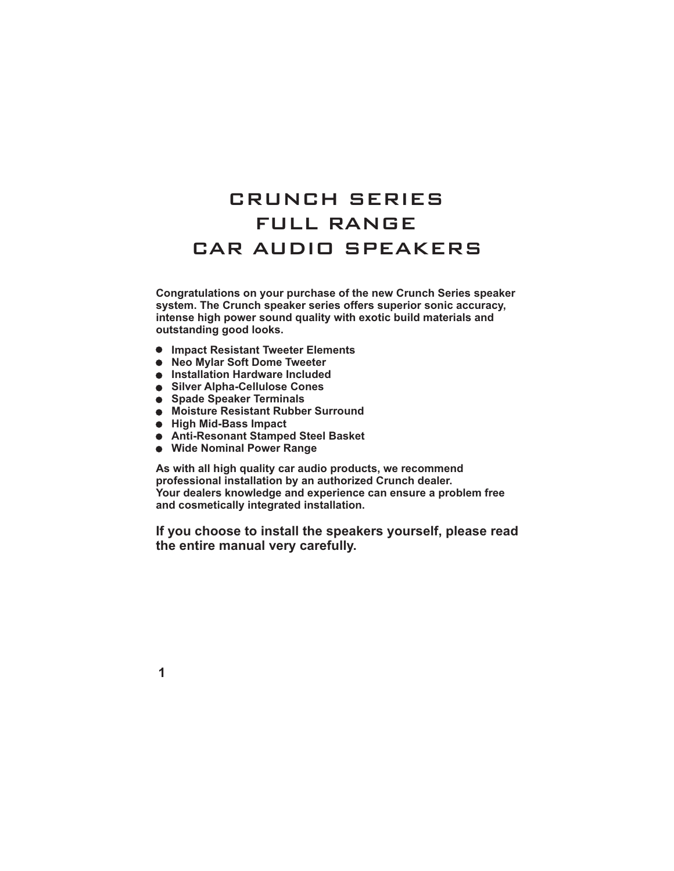## FULL RANGE CRUNCH SERIES CAR AUDIO SPEAKERS

**Congratulations on your purchase of the new Crunch Series speaker system. The Crunch speaker series offers superior sonic accuracy, intense high power sound quality with exotic build materials and outstanding good looks.**

- **Impact Resistant Tweeter Elements**
- **Neo Mylar Soft Dome Tweeter**
- **Installation Hardware Included**
- **Silver Alpha-Cellulose Cones**
- **Spade Speaker Terminals**
- **Moisture Resistant Rubber Surround**
- **High Mid-Bass Impact**
- **Anti-Resonant Stamped Steel Basket**
- **Wide Nominal Power Range**

**As with all high quality car audio products, we recommend professional installation by an authorized Crunch dealer. Your dealers knowledge and experience can ensure a problem free and cosmetically integrated installation.**

**If you choose to install the speakers yourself, please read the entire manual very carefully.**

**1**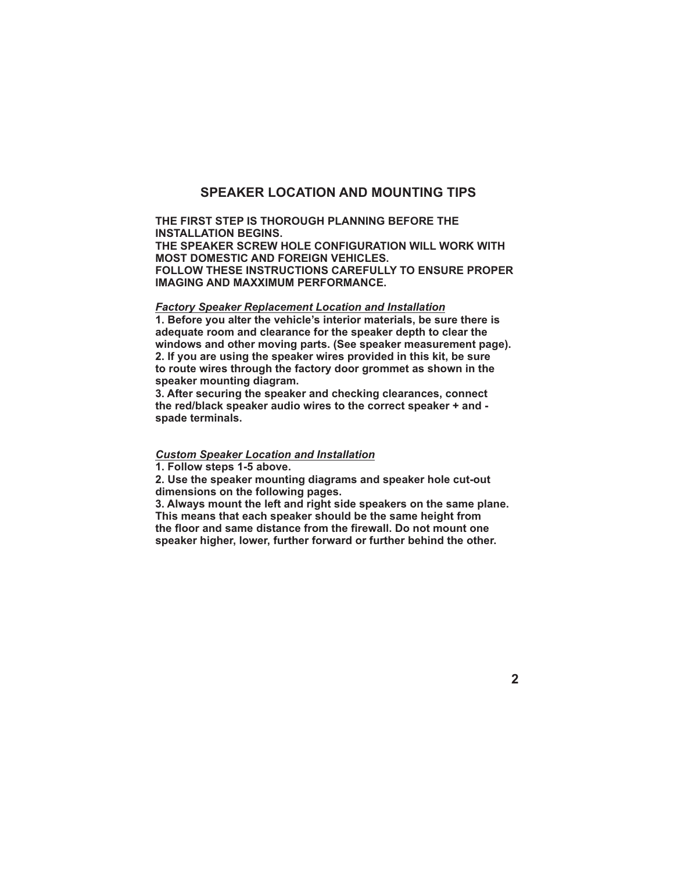#### **SPEAKER LOCATION AND MOUNTING TIPS**

#### **THE FIRST STEP IS THOROUGH PLANNING BEFORE THE INSTALLATION BEGINS. THE SPEAKER SCREW HOLE CONFIGURATION WILL WORK WITH MOST DOMESTIC AND FOREIGN VEHICLES. FOLLOW THESE INSTRUCTIONS CAREFULLY TO ENSURE PROPER IMAGING AND MAXXIMUM PERFORMANCE.**

#### *Factory Speaker Replacement Location and Installation*

**1. Before you alter the vehicle's interior materials, be sure there is adequate room and clearance for the speaker depth to clear the windows and other moving parts. (See speaker measurement page). 2. If you are using the speaker wires provided in this kit, be sure to route wires through the factory door grommet as shown in the speaker mounting diagram.**

**3. After securing the speaker and checking clearances, connect the red/black speaker audio wires to the correct speaker + and spade terminals.**

#### *Custom Speaker Location and Installation*

**1. Follow steps 1-5 above.**

**2. Use the speaker mounting diagrams and speaker hole cut-out dimensions on the following pages.**

**3. Always mount the left and right side speakers on the same plane. This means that each speaker should be the same height from the floor and same distance from the firewall. Do not mount one speaker higher, lower, further forward or further behind the other.**

**2**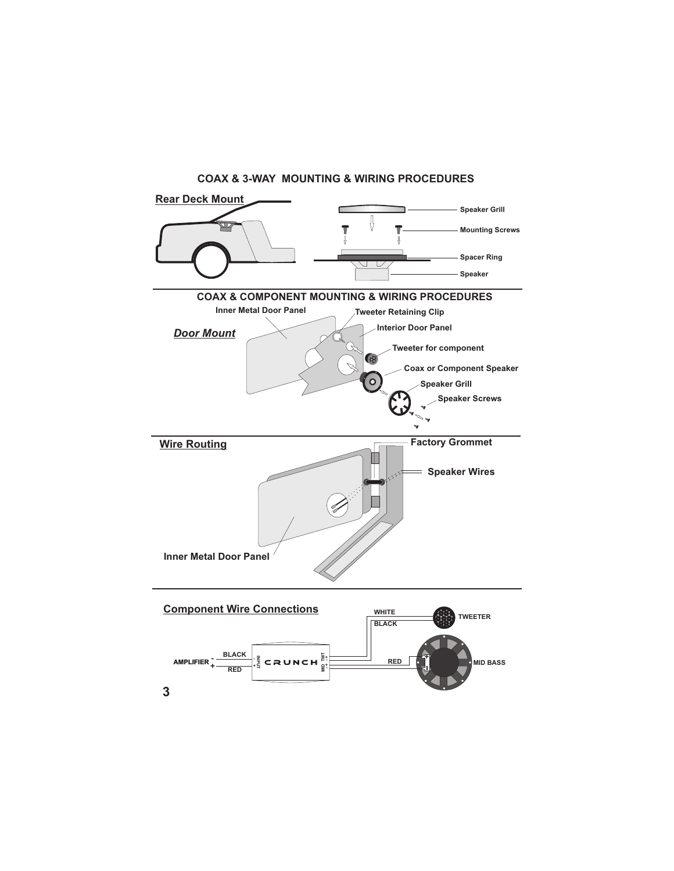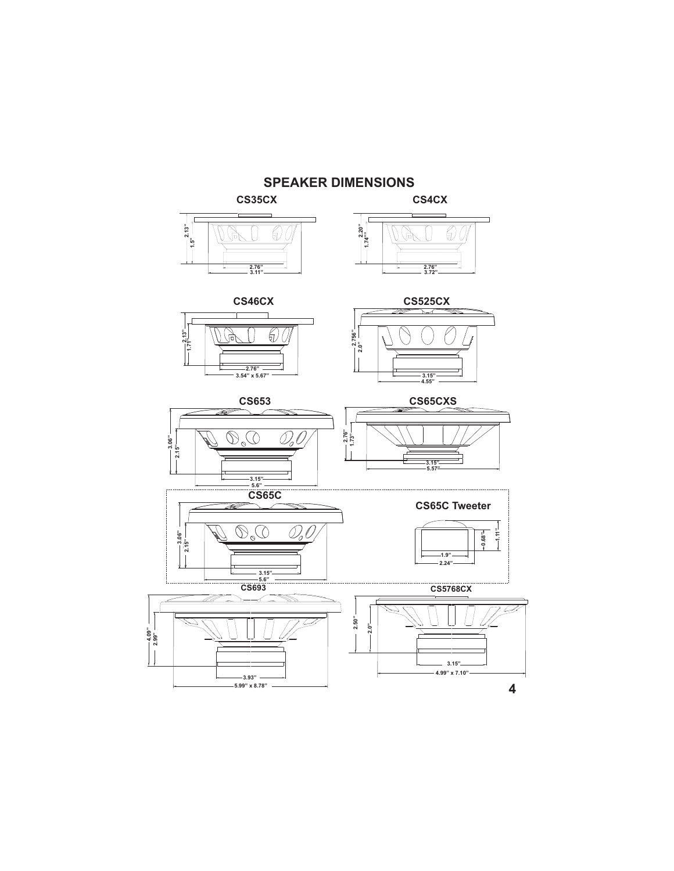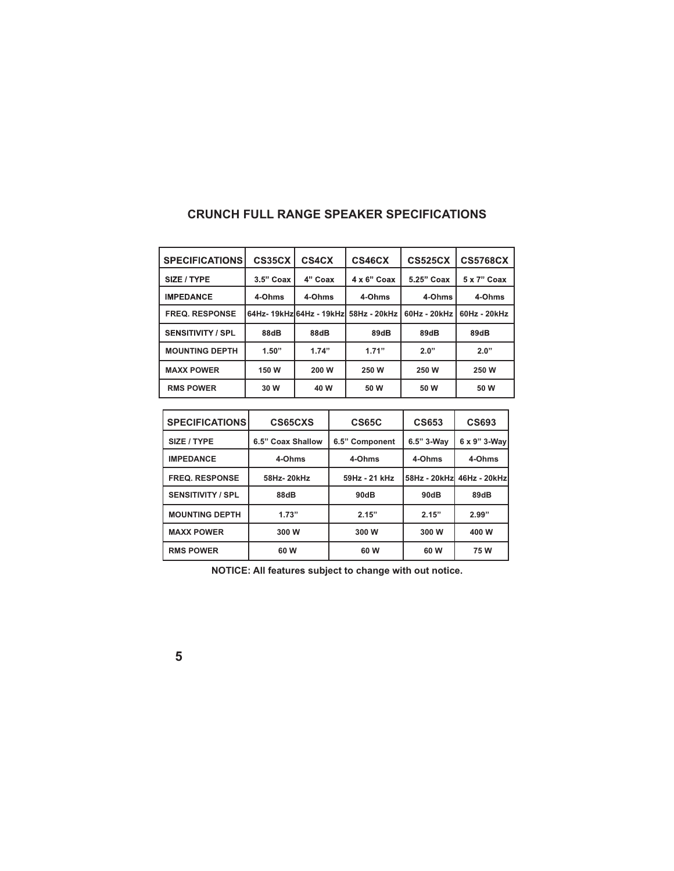| <b>SPECIFICATIONS</b>    | CS35CX      | CS4CX   | CS46CX                                 | <b>CS525CX</b> | <b>CS5768CX</b> |
|--------------------------|-------------|---------|----------------------------------------|----------------|-----------------|
| SIZE / TYPE              | $3.5"$ Coax | 4" Coax | $4 \times 6$ " Coax                    | 5.25" Coax     | 5 x 7" Coax     |
| <b>IMPEDANCE</b>         | 4-Ohms      | 4-Ohms  | 4-Ohms                                 | 4-Ohms         | 4-Ohms          |
| <b>FREQ. RESPONSE</b>    |             |         | 64Hz- 19kHzl64Hz - 19kHzl 58Hz - 20kHz | 60Hz - 20kHz   | $60Hz - 20kHz$  |
| <b>SENSITIVITY / SPL</b> | 88dB        | 88dB    | 89dB                                   | 89dB           | 89dB            |
| <b>MOUNTING DEPTH</b>    | 1.50"       | 1.74"   | 1.71"                                  | 2.0"           | 2.0"            |
| <b>MAXX POWER</b>        | 150 W       | 200 W   | 250 W                                  | 250 W          | 250 W           |
| <b>RMS POWER</b>         | 30 W        | 40 W    | 50 W                                   | 50 W           | 50 W            |

### **CRUNCH FULL RANGE SPEAKER SPECIFICATIONS**

| <b>SPECIFICATIONS</b>    | CS65CXS           | <b>CS65C</b>   | <b>CS653</b> | <b>CS693</b> |
|--------------------------|-------------------|----------------|--------------|--------------|
| SIZE / TYPE              | 6.5" Coax Shallow | 6.5" Component | 6.5" 3-Way   | 6 x 9" 3-Wav |
| <b>IMPEDANCE</b>         | 4-Ohms            | 4-Ohms         | 4-Ohms       | 4-Ohms       |
| <b>FREQ. RESPONSE</b>    | 58Hz-20kHz        | 59Hz - 21 kHz  | 58Hz - 20kHz | 46Hz - 20kHz |
| <b>SENSITIVITY / SPL</b> | 88dB              | 90dB           | 90dB         | 89dB         |
| <b>MOUNTING DEPTH</b>    | 1.73"             | 2.15"          | 2.15"        | 2.99"        |
| <b>MAXX POWER</b>        | 300 W             | 300 W          | 300 W        | 400 W        |
| <b>RMS POWER</b>         | 60 W              | 60 W           | 60 W         | 75W          |

**NOTICE: All features subject to change with out notice.**

| v                  |  |
|--------------------|--|
| ë<br>۰,<br>×<br>۰. |  |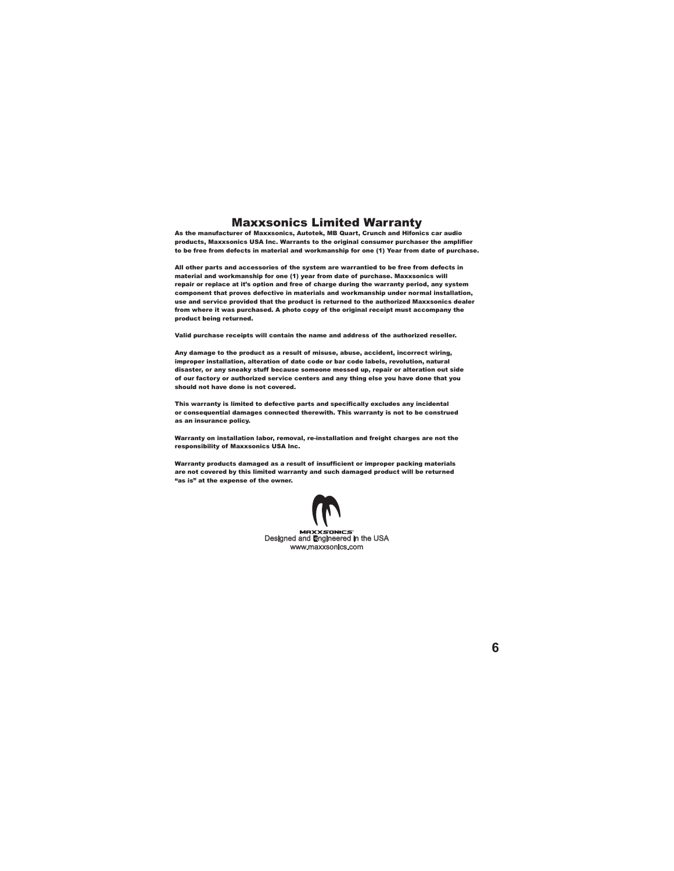#### Maxxsonics Limited Warranty

As the manufacturer of Maxxsonics, Autotek, MB Quart, Crunch and Hifonics car audio products, Maxxsonics USA Inc. Warrants to the original consumer purchaser the amplifier to be free from defects in material and workmanship for one (1) Year from date of purchase.

All other parts and accessories of the system are warrantied to be free from defects in material and workmanship for one (1) year from date of purchase. Maxxsonics will repair or replace at it's option and free of charge during the warranty period, any system component that proves defective in materials and workmanship under normal installation, use and service provided that the product is returned to the authorized Maxxsonics dealer from where it was purchased. A photo copy of the original receipt must accompany the product being returned.

Valid purchase receipts will contain the name and address of the authorized reseller.

Any damage to the product as a result of misuse, abuse, accident, incorrect wiring, improper installation, alteration of date code or bar code labels, revolution, natural disaster, or any sneaky stuff because someone messed up, repair or alteration out side of our factory or authorized service centers and any thing else you have done that you should not have done is not covered.

This warranty is limited to defective parts and specifically excludes any incidental or consequential damages connected therewith. This warranty is not to be construed as an insurance policy.

Warranty on installation labor, removal, re-installation and freight charges are not the responsibility of Maxxsonics USA Inc.

Warranty products damaged as a result of insufficient or improper packing materials are not covered by this limited warranty and such damaged product will be returned "as is" at the expense of the owner.



**6**